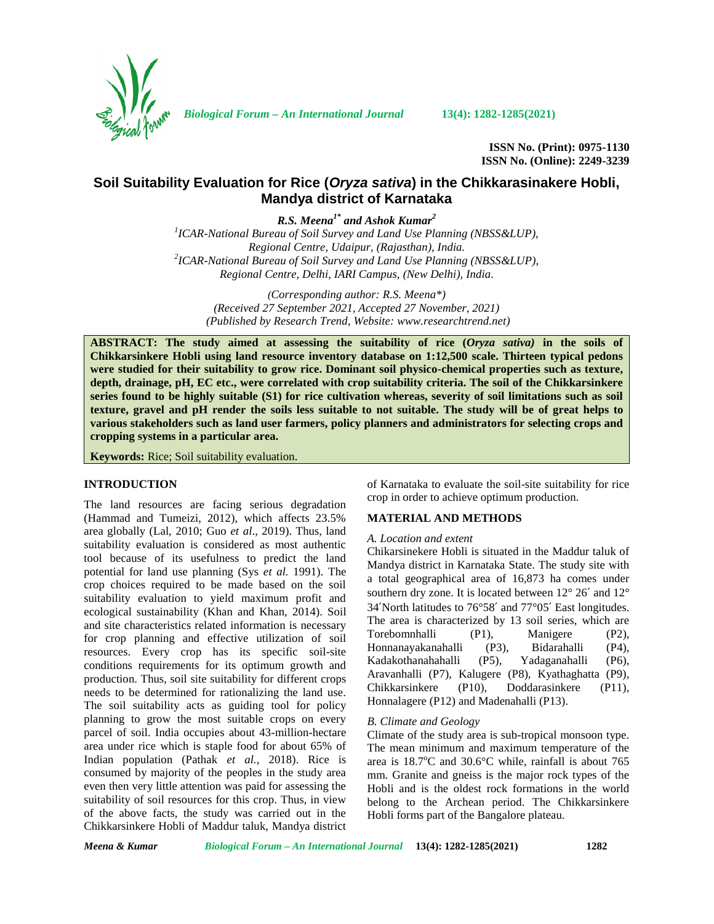

*Biological Forum – An International Journal* **13(4): 1282-1285(2021)**

**ISSN No. (Print): 0975-1130 ISSN No. (Online): 2249-3239**

# **Soil Suitability Evaluation for Rice (***Oryza sativa***) in the Chikkarasinakere Hobli, Mandya district of Karnataka**

*R.S. Meena1\* and Ashok Kumar<sup>2</sup>*

*<sup>1</sup>ICAR-National Bureau of Soil Survey and Land Use Planning (NBSS&LUP), Regional Centre, Udaipur, (Rajasthan), India. <sup>2</sup>ICAR-National Bureau of Soil Survey and Land Use Planning (NBSS&LUP), Regional Centre, Delhi, IARI Campus, (New Delhi), India.*

*(Corresponding author: R.S. Meena\*) (Received 27 September 2021, Accepted 27 November, 2021) (Published by Research Trend, Website: <www.researchtrend.net>)*

**ABSTRACT: The study aimed at assessing the suitability of rice (***Oryza sativa)* **in the soils of Chikkarsinkere Hobli using land resource inventory database on 1:12,500 scale. Thirteen typical pedons were studied for their suitability to grow rice. Dominant soil physico-chemical properties such as texture, depth, drainage, pH, EC etc., were correlated with crop suitability criteria. The soil of the Chikkarsinkere series found to be highly suitable (S1) for rice cultivation whereas, severity of soil limitations such as soil texture, gravel and pH render the soils less suitable to not suitable. The study will be of great helps to various stakeholders such as land user farmers, policy planners and administrators for selecting crops and cropping systems in a particular area.**

**Keywords:** Rice; Soil suitability evaluation.

## **INTRODUCTION**

The land resources are facing serious degradation (Hammad and Tumeizi, 2012), which affects 23.5% area globally (Lal, 2010; Guo *et al*., 2019). Thus, land suitability evaluation is considered as most authentic tool because of its usefulness to predict the land potential for land use planning (Sys *et al.* 1991). The crop choices required to be made based on the soil suitability evaluation to yield maximum profit and ecological sustainability (Khan and Khan, 2014). Soil and site characteristics related information is necessary for crop planning and effective utilization of soil resources. Every crop has its specific soil-site conditions requirements for its optimum growth and production. Thus, soil site suitability for different crops Aravannally (P) needs to be determined for rationalizing the land use. The soil suitability acts as guiding tool for policy planning to grow the most suitable crops on every parcel of soil. India occupies about 43-million-hectare area under rice which is staple food for about 65% of Indian population (Pathak *et al.,* 2018). Rice is consumed by majority of the peoples in the study area even then very little attention was paid for assessing the suitability of soil resources for this crop. Thus, in view of the above facts, the study was carried out in the Chikkarsinkere Hobli of Maddur taluk, Mandya district

of Karnataka to evaluate the soil-site suitability for rice crop in order to achieve optimum production.

#### **MATERIAL AND METHODS**

#### *A. Location and extent*

Chikarsinekere Hobli is situated in the Maddur taluk of Mandya district in Karnataka State. The study site with a total geographical area of 16,873 ha comes under southern dry zone. It is located between  $12^{\circ}$  26' and  $12^{\circ}$ 34′North latitudes to 76°58′ and 77°05′ East longitudes. The area is characterized by 13 soil series, which are Torebomnhalli (P1), Manigere (P2), Honnanayakanahalli (P3), Bidarahalli (P4), Kadakothanahahalli (P5), Yadaganahalli (P6), Aravanhalli (P7), Kalugere (P8), Kyathaghatta (P9), (P10), Doddarasinkere (P11), Honnalagere (P12) and Madenahalli (P13).

#### *B. Climate and Geology*

Climate of the study area is sub-tropical monsoon type. The mean minimum and maximum temperature of the area is  $18.7^{\circ}$ C and  $30.6^{\circ}$ C while, rainfall is about 765 mm. Granite and gneiss is the major rock types of the Hobli and is the oldest rock formations in the world belong to the Archean period. The Chikkarsinkere Hobli forms part of the Bangalore plateau.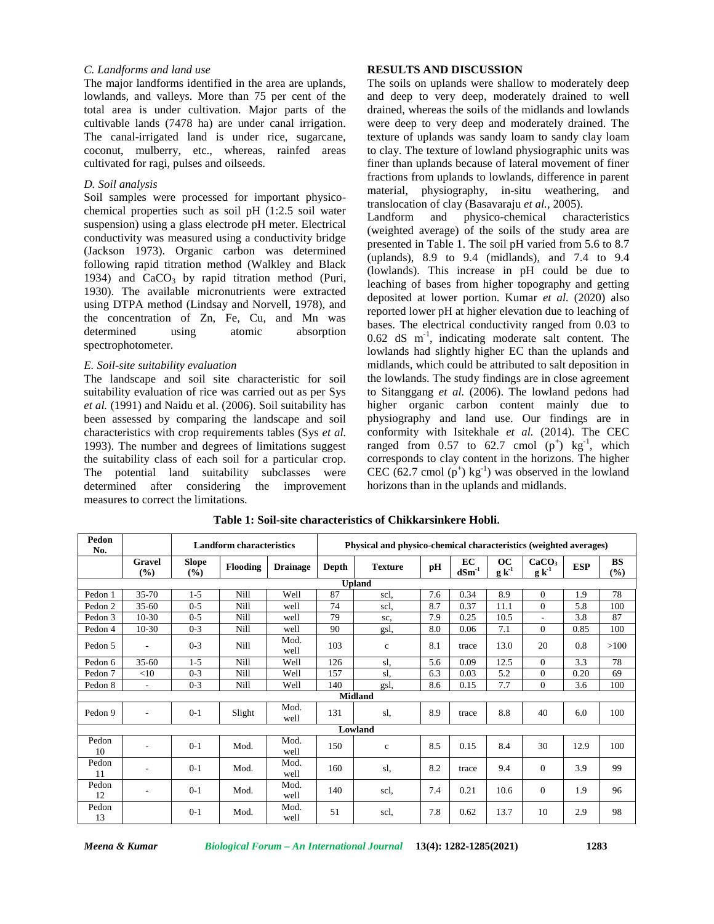#### *C. Landforms and land use*

The major landforms identified in the area are uplands, lowlands, and valleys. More than 75 per cent of the total area is under cultivation. Major parts of the cultivable lands (7478 ha) are under canal irrigation. The canal-irrigated land is under rice, sugarcane, coconut, mulberry, etc., whereas, rainfed areas cultivated for ragi, pulses and oilseeds.

## *D. Soil analysis*

Soil samples were processed for important physico chemical properties such as soil pH (1:2.5 soil water<br>Landform and suspension) using a glass electrode pH meter. Electrical conductivity was measured using a conductivity bridge (Jackson 1973). Organic carbon was determined following rapid titration method (Walkley and Black 1934) and  $CaCO<sub>3</sub>$  by rapid titration method (Puri, 1930). The available micronutrients were extracted using DTPA method (Lindsay and Norvell, 1978), and the concentration of Zn, Fe, Cu, and Mn was determined using atomic absorption spectrophotometer.

## *E. Soil-site suitability evaluation*

The landscape and soil site characteristic for soil suitability evaluation of rice was carried out as per Sys *et al.* (1991) and Naidu et al. (2006). Soil suitability has been assessed by comparing the landscape and soil characteristics with crop requirements tables (Sys *et al.* 1993). The number and degrees of limitations suggest the suitability class of each soil for a particular crop. The potential land suitability subclasses were determined after considering the improvement measures to correct the limitations.

## **RESULTS AND DISCUSSION**

The soils on uplands were shallow to moderately deep and deep to very deep, moderately drained to well drained, whereas the soils of the midlands and lowlands were deep to very deep and moderately drained. The texture of uplands was sandy loam to sandy clay loam to clay. The texture of lowland physiographic units was finer than uplands because of lateral movement of finer fractions from uplands to lowlands, difference in parent material, physiography, in-situ weathering, and translocation of clay (Basavaraju *et al.,* 2005).

physico-chemical characteristics (weighted average) of the soils of the study area are presented in Table 1. The soil pH varied from 5.6 to 8.7 (uplands), 8.9 to 9.4 (midlands), and 7.4 to 9.4 (lowlands). This increase in pH could be due to leaching of bases from higher topography and getting deposited at lower portion. Kumar *et al.* (2020) also reported lower pH at higher elevation due to leaching of bases. The electrical conductivity ranged from 0.03 to 0.62 dS m-1 , indicating moderate salt content. The lowlands had slightly higher EC than the uplands and midlands, which could be attributed to salt deposition in the lowlands. The study findings are in close agreement to Sitanggang *et al.* (2006). The lowland pedons had higher organic carbon content mainly due to physiography and land use. Our findings are in conformity with Isitekhale *et al.* (2014). The CEC ranged from 0.57 to 62.7 cmol  $(p^+)$  kg<sup>-1</sup>, which corresponds to clay content in the horizons. The higher CEC (62.7 cmol  $(p^+)$  kg<sup>-1</sup>) was observed in the lowland horizons than in the uplands and midlands.

| Pedon<br>No. |                          |                     | <b>Landform characteristics</b> |                 | Physical and physico-chemical characteristics (weighted averages) |                |     |                                  |                         |                                 |            |           |  |  |
|--------------|--------------------------|---------------------|---------------------------------|-----------------|-------------------------------------------------------------------|----------------|-----|----------------------------------|-------------------------|---------------------------------|------------|-----------|--|--|
|              | <b>Gravel</b><br>(%)     | <b>Slope</b><br>(%) | Flooding                        | <b>Drainage</b> | Depth                                                             | <b>Texture</b> | pH  | EC<br>$\mathbf{dSm}^{\text{-}1}$ | <b>OC</b><br>$g k^{-1}$ | CaCO <sub>3</sub><br>$g k^{-1}$ | <b>ESP</b> | BS<br>(%) |  |  |
|              |                          |                     |                                 |                 |                                                                   | <b>Upland</b>  |     |                                  |                         |                                 |            |           |  |  |
| Pedon 1      | $35 - 70$                | $1 - 5$             | Nill                            | Well            | 87                                                                | scl.           | 7.6 | 0.34                             | 8.9                     | $\mathbf{0}$                    | 1.9        | 78        |  |  |
| Pedon 2      | $35 - 60$                | $0 - 5$             | Nill                            | well            | 74                                                                | scl.           | 8.7 | 0.37                             | 11.1                    | $\mathbf{0}$                    | 5.8        | 100       |  |  |
| Pedon 3      | $10 - 30$                | $0 - 5$             | Nill                            | well            | 79                                                                | SC,            | 7.9 | 0.25                             | 10.5                    |                                 | 3.8        | 87        |  |  |
| Pedon 4      | $10-30$                  | $0 - 3$             | Nill                            | well            | 90                                                                | gsl,           | 8.0 | 0.06                             | 7.1                     | $\Omega$                        | 0.85       | 100       |  |  |
| Pedon 5      |                          | $0 - 3$             | Nill                            | Mod.<br>well    | 103                                                               | $\mathbf c$    | 8.1 | trace                            | 13.0                    | 20                              | 0.8        | >100      |  |  |
| Pedon 6      | $35 - 60$                | $1 - 5$             | Nill                            | Well            | 126                                                               | sl.            | 5.6 | 0.09                             | 12.5                    | $\Omega$                        | 3.3        | 78        |  |  |
| Pedon 7      | $<$ 10                   | $0 - 3$             | Nill                            | Well            | 157                                                               | sl.            | 6.3 | 0.03                             | 5.2                     | $\overline{0}$                  | 0.20       | 69        |  |  |
| Pedon 8      | $\overline{\phantom{a}}$ | $0 - 3$             | Nill                            | Well            | 140                                                               | gsl,           | 8.6 | 0.15                             | 7.7                     | $\mathbf{0}$                    | 3.6        | 100       |  |  |
|              |                          |                     |                                 |                 |                                                                   | <b>Midland</b> |     |                                  |                         |                                 |            |           |  |  |
| Pedon 9      |                          | $0 - 1$             | Slight                          | Mod.<br>well    | 131                                                               | sl.            | 8.9 | trace                            | 8.8                     | 40                              | 6.0        | 100       |  |  |
|              |                          |                     |                                 |                 |                                                                   | Lowland        |     |                                  |                         |                                 |            |           |  |  |
| Pedon<br>10  |                          | $0 - 1$             | Mod.                            | Mod.<br>well    | 150                                                               | $\mathbf c$    | 8.5 | 0.15                             | 8.4                     | 30                              | 12.9       | 100       |  |  |
| Pedon<br>11  |                          | $0 - 1$             | Mod.                            | Mod.<br>well    | 160                                                               | sl,            | 8.2 | trace                            | 9.4                     | $\mathbf{0}$                    | 3.9        | 99        |  |  |
| Pedon<br>12  | ٠                        | $0 - 1$             | Mod.                            | Mod.<br>well    | 140                                                               | scl,           | 7.4 | 0.21                             | 10.6                    | $\mathbf{0}$                    | 1.9        | 96        |  |  |
| Pedon<br>13  |                          | $0 - 1$             | Mod.                            | Mod.<br>well    | 51                                                                | scl.           | 7.8 | 0.62                             | 13.7                    | 10                              | 2.9        | 98        |  |  |

**Table 1: Soil-site characteristics of Chikkarsinkere Hobli.**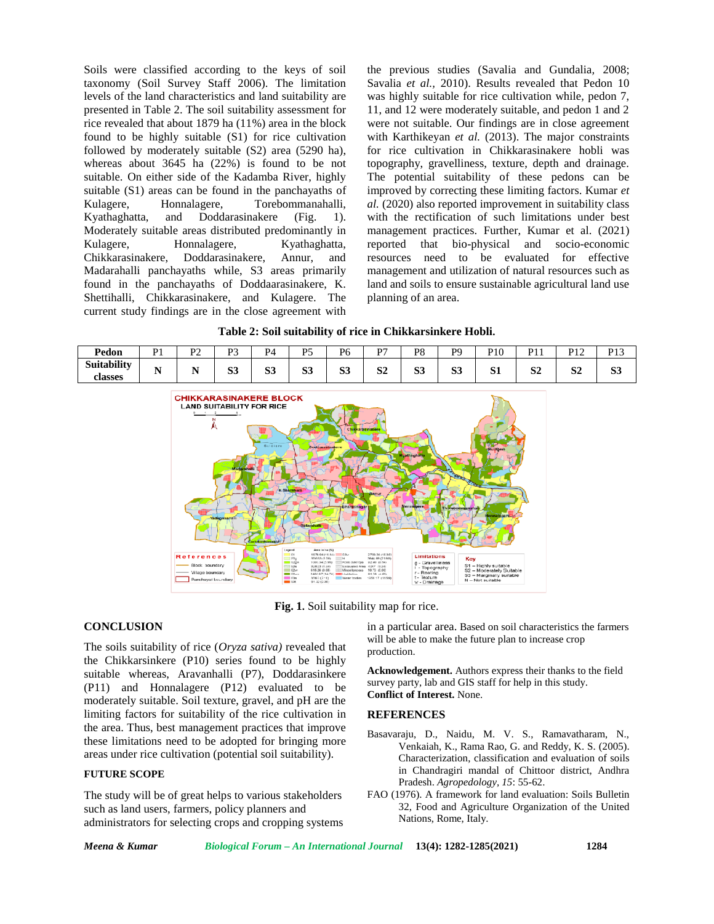Soils were classified according to the keys of soil taxonomy (Soil Survey Staff 2006). The limitation levels of the land characteristics and land suitability are presented in Table 2. The soil suitability assessment for rice revealed that about 1879 ha (11%) area in the block found to be highly suitable (S1) for rice cultivation followed by moderately suitable (S2) area (5290 ha), whereas about 3645 ha (22%) is found to be not suitable. On either side of the Kadamba River, highly suitable (S1) areas can be found in the panchayaths of Kulagere, Honnalagere, Torebommanahalli, Kyathaghatta, and Doddarasinakere (Fig. 1). Moderately suitable areas distributed predominantly in Kulagere, Honnalagere, Kyathaghatta, Chikkarasinakere, Doddarasinakere, Annur, and Madarahalli panchayaths while, S3 areas primarily found in the panchayaths of Doddaarasinakere, K. Shettihalli, Chikkarasinakere, and Kulagere. The current study findings are in the close agreement with

the previous studies (Savalia and Gundalia*,* 2008; Savalia *et al.,* 2010). Results revealed that Pedon 10 was highly suitable for rice cultivation while, pedon 7, 11, and 12 were moderately suitable, and pedon 1 and 2 were not suitable. Our findings are in close agreement with Karthikeyan *et al.* (2013). The major constraints for rice cultivation in Chikkarasinakere hobli was topography, gravelliness, texture, depth and drainage. The potential suitability of these pedons can be improved by correcting these limiting factors. Kumar *et al.* (2020) also reported improvement in suitability class with the rectification of such limitations under best management practices. Further, Kumar et al. (2021) reported that bio-physical and socio-economic resources need to be evaluated for effective management and utilization of natural resources such as land and soils to ensure sustainable agricultural land use planning of an area.

#### **Table 2: Soil suitability of rice in Chikkarsinkere Hobli.**

| Pedon              | D1<br>. .     | $\mathbf{D}$<br>. . | $\mathbf{D}$ | $\mathbf{p}_4$ | DΣ           | D6       | D7<br>. . | <b>D</b> <sup>Q</sup><br>◡ | P9           | P10 | D11<br>. | D10<br>$\perp$ | P13<br>. L J |
|--------------------|---------------|---------------------|--------------|----------------|--------------|----------|-----------|----------------------------|--------------|-----|----------|----------------|--------------|
| <b>Suitability</b> | $\sim$ $\sim$ | - -                 | $\sim$       | $\mathbf{C}$   | $\mathbf{C}$ | $\alpha$ | $\Omega$  | $\alpha$                   | $\mathbf{C}$ | O 1 | $\Omega$ | $\Omega$       | $\sim$       |
| classes            | . .           |                     | ນມ           | NJ.            | NJ.          | ມມ       | IJΖ       | ມມ                         | D.           | IJΙ | ЮA       | D4             | NJ.          |



**Fig. 1.** Soil suitability map for rice.

#### **CONCLUSION**

The soils suitability of rice (*Oryza sativa)* revealed that the Chikkarsinkere (P10) series found to be highly suitable whereas, Aravanhalli (P7), Doddarasinkere (P11) and Honnalagere (P12) evaluated to be moderately suitable. Soil texture, gravel, and pH are the limiting factors for suitability of the rice cultivation in the area. Thus, best management practices that improve these limitations need to be adopted for bringing more areas under rice cultivation (potential soil suitability).

## **FUTURE SCOPE**

The study will be of great helps to various stakeholders such as land users, farmers, policy planners and administrators for selecting crops and cropping systems in a particular area. Based on soil characteristics the farmers will be able to make the future plan to increase crop production.

**Acknowledgement.** Authors express their thanks to the field survey party, lab and GIS staff for help in this study. **Conflict of Interest.** None.

#### **REFERENCES**

- Basavaraju, D., Naidu, M. V. S., Ramavatharam, N., Venkaiah, K., Rama Rao, G. and Reddy, K. S. (2005). Characterization, classification and evaluation of soils in Chandragiri mandal of Chittoor district, Andhra Pradesh. *Agropedology, 15*: 55-62.
- FAO (1976). A framework for land evaluation: Soils Bulletin 32, Food and Agriculture Organization of the United Nations, Rome, Italy.